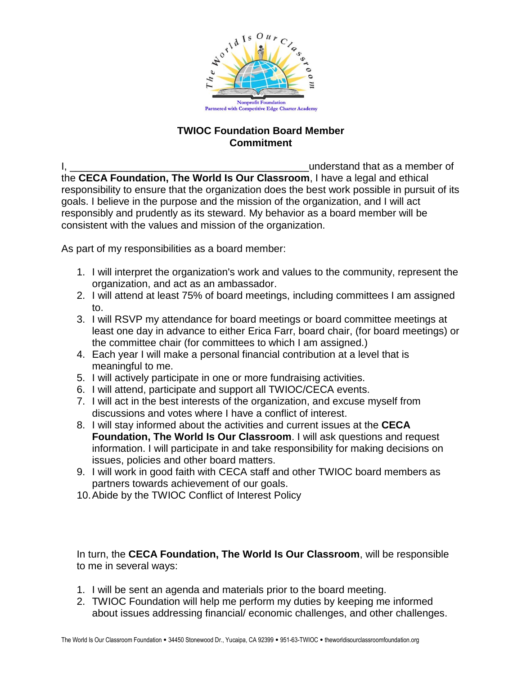

## **TWIOC Foundation Board Member Commitment**

I,  $\frac{1}{2}$  understand that as a member of the **CECA Foundation, The World Is Our Classroom**, I have a legal and ethical responsibility to ensure that the organization does the best work possible in pursuit of its goals. I believe in the purpose and the mission of the organization, and I will act responsibly and prudently as its steward. My behavior as a board member will be consistent with the values and mission of the organization.

As part of my responsibilities as a board member:

- 1. I will interpret the organization's work and values to the community, represent the organization, and act as an ambassador.
- 2. I will attend at least 75% of board meetings, including committees I am assigned to.
- 3. I will RSVP my attendance for board meetings or board committee meetings at least one day in advance to either Erica Farr, board chair, (for board meetings) or the committee chair (for committees to which I am assigned.)
- 4. Each year I will make a personal financial contribution at a level that is meaningful to me.
- 5. I will actively participate in one or more fundraising activities.
- 6. I will attend, participate and support all TWIOC/CECA events.
- 7. I will act in the best interests of the organization, and excuse myself from discussions and votes where I have a conflict of interest.
- 8. I will stay informed about the activities and current issues at the **CECA Foundation, The World Is Our Classroom**. I will ask questions and request information. I will participate in and take responsibility for making decisions on issues, policies and other board matters.
- 9. I will work in good faith with CECA staff and other TWIOC board members as partners towards achievement of our goals.
- 10.Abide by the TWIOC Conflict of Interest Policy

In turn, the **CECA Foundation, The World Is Our Classroom**, will be responsible to me in several ways:

- 1. I will be sent an agenda and materials prior to the board meeting.
- 2. TWIOC Foundation will help me perform my duties by keeping me informed about issues addressing financial/ economic challenges, and other challenges.